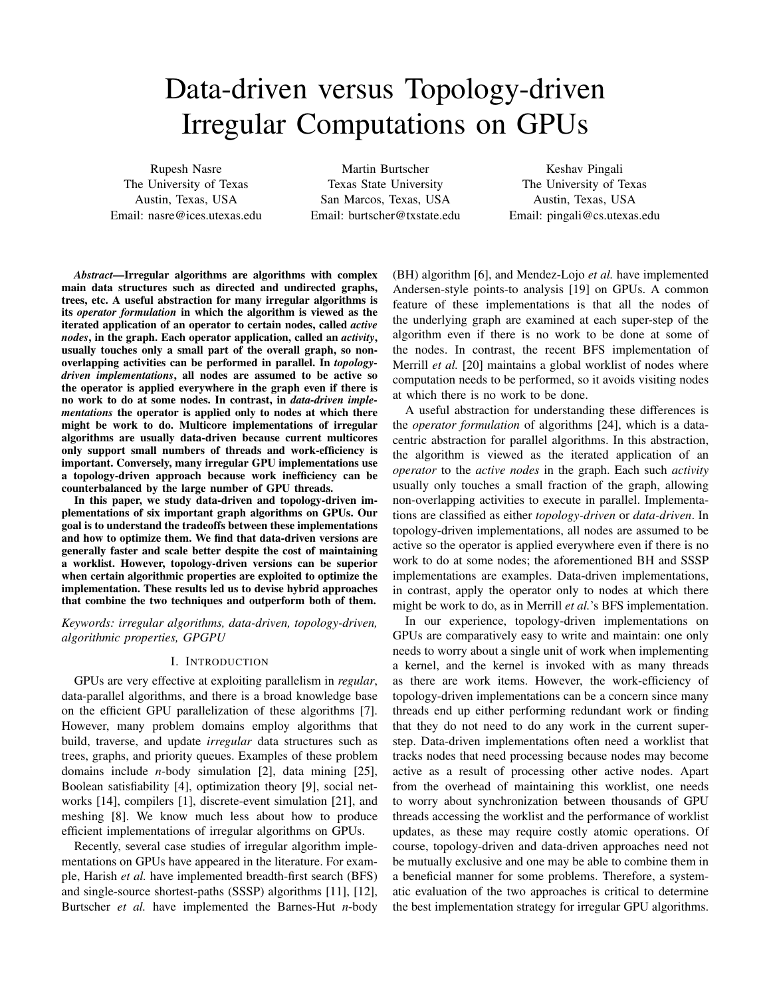# Data-driven versus Topology-driven Irregular Computations on GPUs

Rupesh Nasre The University of Texas Austin, Texas, USA Email: nasre@ices.utexas.edu

Martin Burtscher Texas State University San Marcos, Texas, USA Email: burtscher@txstate.edu

Keshav Pingali The University of Texas Austin, Texas, USA Email: pingali@cs.utexas.edu

*Abstract*—Irregular algorithms are algorithms with complex main data structures such as directed and undirected graphs, trees, etc. A useful abstraction for many irregular algorithms is its *operator formulation* in which the algorithm is viewed as the iterated application of an operator to certain nodes, called *active nodes*, in the graph. Each operator application, called an *activity*, usually touches only a small part of the overall graph, so nonoverlapping activities can be performed in parallel. In *topologydriven implementations*, all nodes are assumed to be active so the operator is applied everywhere in the graph even if there is no work to do at some nodes. In contrast, in *data-driven implementations* the operator is applied only to nodes at which there might be work to do. Multicore implementations of irregular algorithms are usually data-driven because current multicores only support small numbers of threads and work-efficiency is important. Conversely, many irregular GPU implementations use a topology-driven approach because work inefficiency can be counterbalanced by the large number of GPU threads.

In this paper, we study data-driven and topology-driven implementations of six important graph algorithms on GPUs. Our goal is to understand the tradeoffs between these implementations and how to optimize them. We find that data-driven versions are generally faster and scale better despite the cost of maintaining a worklist. However, topology-driven versions can be superior when certain algorithmic properties are exploited to optimize the implementation. These results led us to devise hybrid approaches that combine the two techniques and outperform both of them.

*Keywords: irregular algorithms, data-driven, topology-driven, algorithmic properties, GPGPU*

# I. INTRODUCTION

GPUs are very effective at exploiting parallelism in *regular*, data-parallel algorithms, and there is a broad knowledge base on the efficient GPU parallelization of these algorithms [7]. However, many problem domains employ algorithms that build, traverse, and update *irregular* data structures such as trees, graphs, and priority queues. Examples of these problem domains include *n*-body simulation [2], data mining [25], Boolean satisfiability [4], optimization theory [9], social networks [14], compilers [1], discrete-event simulation [21], and meshing [8]. We know much less about how to produce efficient implementations of irregular algorithms on GPUs.

Recently, several case studies of irregular algorithm implementations on GPUs have appeared in the literature. For example, Harish *et al.* have implemented breadth-first search (BFS) and single-source shortest-paths (SSSP) algorithms [11], [12], Burtscher *et al.* have implemented the Barnes-Hut *n*-body (BH) algorithm [6], and Mendez-Lojo *et al.* have implemented Andersen-style points-to analysis [19] on GPUs. A common feature of these implementations is that all the nodes of the underlying graph are examined at each super-step of the algorithm even if there is no work to be done at some of the nodes. In contrast, the recent BFS implementation of Merrill *et al.* [20] maintains a global worklist of nodes where computation needs to be performed, so it avoids visiting nodes at which there is no work to be done.

A useful abstraction for understanding these differences is the *operator formulation* of algorithms [24], which is a datacentric abstraction for parallel algorithms. In this abstraction, the algorithm is viewed as the iterated application of an *operator* to the *active nodes* in the graph. Each such *activity* usually only touches a small fraction of the graph, allowing non-overlapping activities to execute in parallel. Implementations are classified as either *topology-driven* or *data-driven*. In topology-driven implementations, all nodes are assumed to be active so the operator is applied everywhere even if there is no work to do at some nodes; the aforementioned BH and SSSP implementations are examples. Data-driven implementations, in contrast, apply the operator only to nodes at which there might be work to do, as in Merrill *et al.*'s BFS implementation.

In our experience, topology-driven implementations on GPUs are comparatively easy to write and maintain: one only needs to worry about a single unit of work when implementing a kernel, and the kernel is invoked with as many threads as there are work items. However, the work-efficiency of topology-driven implementations can be a concern since many threads end up either performing redundant work or finding that they do not need to do any work in the current superstep. Data-driven implementations often need a worklist that tracks nodes that need processing because nodes may become active as a result of processing other active nodes. Apart from the overhead of maintaining this worklist, one needs to worry about synchronization between thousands of GPU threads accessing the worklist and the performance of worklist updates, as these may require costly atomic operations. Of course, topology-driven and data-driven approaches need not be mutually exclusive and one may be able to combine them in a beneficial manner for some problems. Therefore, a systematic evaluation of the two approaches is critical to determine the best implementation strategy for irregular GPU algorithms.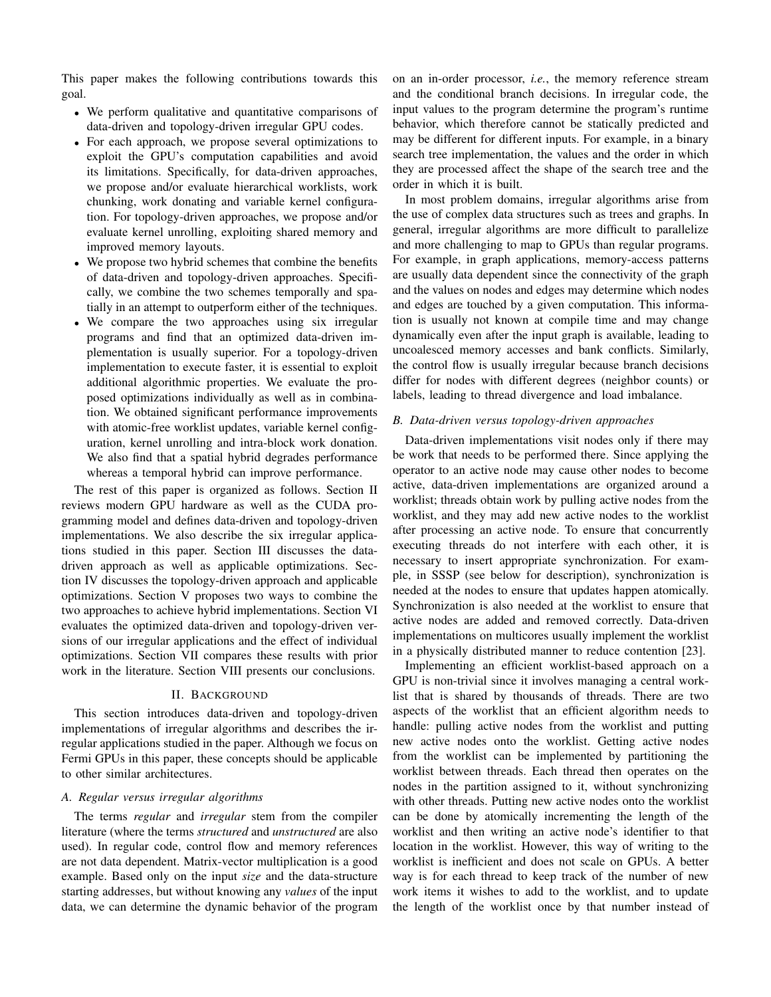This paper makes the following contributions towards this goal.

- We perform qualitative and quantitative comparisons of data-driven and topology-driven irregular GPU codes.
- For each approach, we propose several optimizations to exploit the GPU's computation capabilities and avoid its limitations. Specifically, for data-driven approaches, we propose and/or evaluate hierarchical worklists, work chunking, work donating and variable kernel configuration. For topology-driven approaches, we propose and/or evaluate kernel unrolling, exploiting shared memory and improved memory layouts.
- We propose two hybrid schemes that combine the benefits of data-driven and topology-driven approaches. Specifically, we combine the two schemes temporally and spatially in an attempt to outperform either of the techniques.
- We compare the two approaches using six irregular programs and find that an optimized data-driven implementation is usually superior. For a topology-driven implementation to execute faster, it is essential to exploit additional algorithmic properties. We evaluate the proposed optimizations individually as well as in combination. We obtained significant performance improvements with atomic-free worklist updates, variable kernel configuration, kernel unrolling and intra-block work donation. We also find that a spatial hybrid degrades performance whereas a temporal hybrid can improve performance.

The rest of this paper is organized as follows. Section II reviews modern GPU hardware as well as the CUDA programming model and defines data-driven and topology-driven implementations. We also describe the six irregular applications studied in this paper. Section III discusses the datadriven approach as well as applicable optimizations. Section IV discusses the topology-driven approach and applicable optimizations. Section V proposes two ways to combine the two approaches to achieve hybrid implementations. Section VI evaluates the optimized data-driven and topology-driven versions of our irregular applications and the effect of individual optimizations. Section VII compares these results with prior work in the literature. Section VIII presents our conclusions.

### II. BACKGROUND

This section introduces data-driven and topology-driven implementations of irregular algorithms and describes the irregular applications studied in the paper. Although we focus on Fermi GPUs in this paper, these concepts should be applicable to other similar architectures.

# *A. Regular versus irregular algorithms*

The terms *regular* and *irregular* stem from the compiler literature (where the terms *structured* and *unstructured* are also used). In regular code, control flow and memory references are not data dependent. Matrix-vector multiplication is a good example. Based only on the input *size* and the data-structure starting addresses, but without knowing any *values* of the input data, we can determine the dynamic behavior of the program on an in-order processor, *i.e.*, the memory reference stream and the conditional branch decisions. In irregular code, the input values to the program determine the program's runtime behavior, which therefore cannot be statically predicted and may be different for different inputs. For example, in a binary search tree implementation, the values and the order in which they are processed affect the shape of the search tree and the order in which it is built.

In most problem domains, irregular algorithms arise from the use of complex data structures such as trees and graphs. In general, irregular algorithms are more difficult to parallelize and more challenging to map to GPUs than regular programs. For example, in graph applications, memory-access patterns are usually data dependent since the connectivity of the graph and the values on nodes and edges may determine which nodes and edges are touched by a given computation. This information is usually not known at compile time and may change dynamically even after the input graph is available, leading to uncoalesced memory accesses and bank conflicts. Similarly, the control flow is usually irregular because branch decisions differ for nodes with different degrees (neighbor counts) or labels, leading to thread divergence and load imbalance.

# *B. Data-driven versus topology-driven approaches*

Data-driven implementations visit nodes only if there may be work that needs to be performed there. Since applying the operator to an active node may cause other nodes to become active, data-driven implementations are organized around a worklist; threads obtain work by pulling active nodes from the worklist, and they may add new active nodes to the worklist after processing an active node. To ensure that concurrently executing threads do not interfere with each other, it is necessary to insert appropriate synchronization. For example, in SSSP (see below for description), synchronization is needed at the nodes to ensure that updates happen atomically. Synchronization is also needed at the worklist to ensure that active nodes are added and removed correctly. Data-driven implementations on multicores usually implement the worklist in a physically distributed manner to reduce contention [23].

Implementing an efficient worklist-based approach on a GPU is non-trivial since it involves managing a central worklist that is shared by thousands of threads. There are two aspects of the worklist that an efficient algorithm needs to handle: pulling active nodes from the worklist and putting new active nodes onto the worklist. Getting active nodes from the worklist can be implemented by partitioning the worklist between threads. Each thread then operates on the nodes in the partition assigned to it, without synchronizing with other threads. Putting new active nodes onto the worklist can be done by atomically incrementing the length of the worklist and then writing an active node's identifier to that location in the worklist. However, this way of writing to the worklist is inefficient and does not scale on GPUs. A better way is for each thread to keep track of the number of new work items it wishes to add to the worklist, and to update the length of the worklist once by that number instead of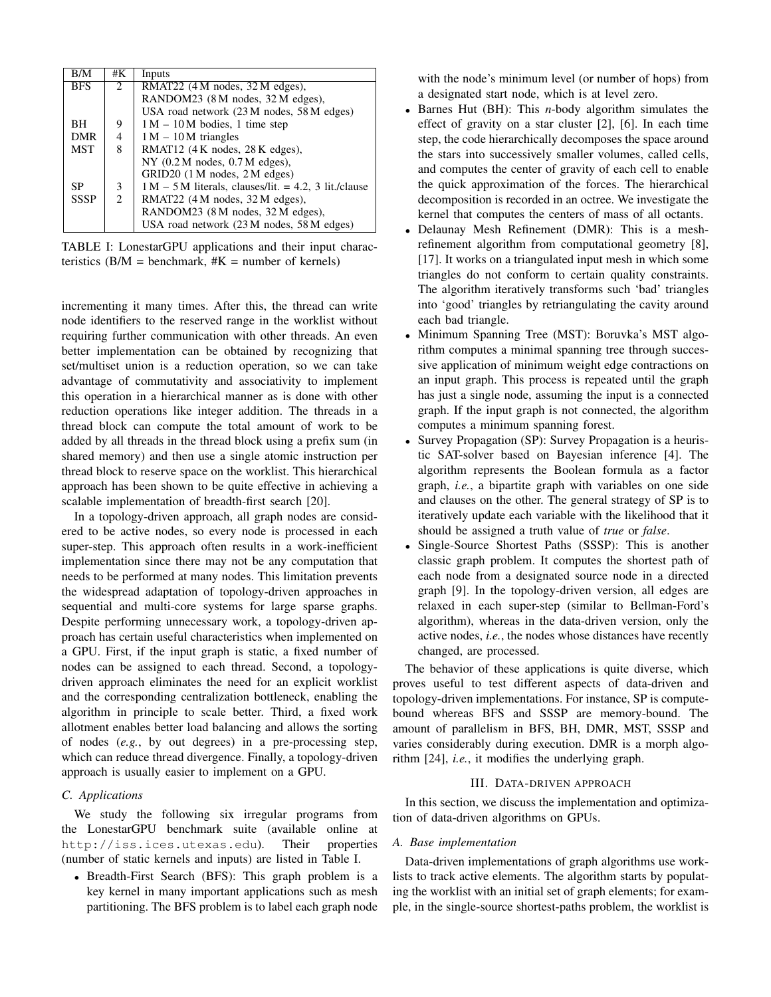| B/M         | #K             | Inputs                                                  |
|-------------|----------------|---------------------------------------------------------|
| <b>BFS</b>  | $2^{1}$        | RMAT22 (4 M nodes, 32 M edges),                         |
|             |                | RANDOM23 (8 M nodes, 32 M edges),                       |
|             |                | USA road network (23 M nodes, 58 M edges)               |
| BH          | 9              | $1 M - 10 M$ bodies, 1 time step                        |
| <b>DMR</b>  | 4              | $1 M - 10 M$ triangles                                  |
| <b>MST</b>  | 8              | RMAT12 (4 K nodes, 28 K edges),                         |
|             |                | $NY$ (0.2 M nodes, 0.7 M edges),                        |
|             |                | GRID20 (1 M nodes, 2 M edges)                           |
| SP          | 3              | $1 M - 5 M$ literals, clauses/lit. = 4.2, 3 lit./clause |
| <b>SSSP</b> | $\mathfrak{D}$ | RMAT22 (4 M nodes, 32 M edges),                         |
|             |                | RANDOM23 (8 M nodes, 32 M edges),                       |
|             |                | USA road network (23 M nodes, 58 M edges)               |

TABLE I: LonestarGPU applications and their input characteristics ( $B/M = \text{benchmark}, \#K = \text{number of kernels}$ )

incrementing it many times. After this, the thread can write node identifiers to the reserved range in the worklist without requiring further communication with other threads. An even better implementation can be obtained by recognizing that set/multiset union is a reduction operation, so we can take advantage of commutativity and associativity to implement this operation in a hierarchical manner as is done with other reduction operations like integer addition. The threads in a thread block can compute the total amount of work to be added by all threads in the thread block using a prefix sum (in shared memory) and then use a single atomic instruction per thread block to reserve space on the worklist. This hierarchical approach has been shown to be quite effective in achieving a scalable implementation of breadth-first search [20].

In a topology-driven approach, all graph nodes are considered to be active nodes, so every node is processed in each super-step. This approach often results in a work-inefficient implementation since there may not be any computation that needs to be performed at many nodes. This limitation prevents the widespread adaptation of topology-driven approaches in sequential and multi-core systems for large sparse graphs. Despite performing unnecessary work, a topology-driven approach has certain useful characteristics when implemented on a GPU. First, if the input graph is static, a fixed number of nodes can be assigned to each thread. Second, a topologydriven approach eliminates the need for an explicit worklist and the corresponding centralization bottleneck, enabling the algorithm in principle to scale better. Third, a fixed work allotment enables better load balancing and allows the sorting of nodes (*e.g.*, by out degrees) in a pre-processing step, which can reduce thread divergence. Finally, a topology-driven approach is usually easier to implement on a GPU.

# *C. Applications*

We study the following six irregular programs from the LonestarGPU benchmark suite (available online at http://iss.ices.utexas.edu). Their properties (number of static kernels and inputs) are listed in Table I.

• Breadth-First Search (BFS): This graph problem is a key kernel in many important applications such as mesh partitioning. The BFS problem is to label each graph node with the node's minimum level (or number of hops) from a designated start node, which is at level zero.

- Barnes Hut (BH): This *n*-body algorithm simulates the effect of gravity on a star cluster [2], [6]. In each time step, the code hierarchically decomposes the space around the stars into successively smaller volumes, called cells, and computes the center of gravity of each cell to enable the quick approximation of the forces. The hierarchical decomposition is recorded in an octree. We investigate the kernel that computes the centers of mass of all octants.
- Delaunay Mesh Refinement (DMR): This is a meshrefinement algorithm from computational geometry [8], [17]. It works on a triangulated input mesh in which some triangles do not conform to certain quality constraints. The algorithm iteratively transforms such 'bad' triangles into 'good' triangles by retriangulating the cavity around each bad triangle.
- Minimum Spanning Tree (MST): Boruvka's MST algorithm computes a minimal spanning tree through successive application of minimum weight edge contractions on an input graph. This process is repeated until the graph has just a single node, assuming the input is a connected graph. If the input graph is not connected, the algorithm computes a minimum spanning forest.
- Survey Propagation (SP): Survey Propagation is a heuristic SAT-solver based on Bayesian inference [4]. The algorithm represents the Boolean formula as a factor graph, *i.e.*, a bipartite graph with variables on one side and clauses on the other. The general strategy of SP is to iteratively update each variable with the likelihood that it should be assigned a truth value of *true* or *false*.
- Single-Source Shortest Paths (SSSP): This is another classic graph problem. It computes the shortest path of each node from a designated source node in a directed graph [9]. In the topology-driven version, all edges are relaxed in each super-step (similar to Bellman-Ford's algorithm), whereas in the data-driven version, only the active nodes, *i.e.*, the nodes whose distances have recently changed, are processed.

The behavior of these applications is quite diverse, which proves useful to test different aspects of data-driven and topology-driven implementations. For instance, SP is computebound whereas BFS and SSSP are memory-bound. The amount of parallelism in BFS, BH, DMR, MST, SSSP and varies considerably during execution. DMR is a morph algorithm [24], *i.e.*, it modifies the underlying graph.

# III. DATA-DRIVEN APPROACH

In this section, we discuss the implementation and optimization of data-driven algorithms on GPUs.

# *A. Base implementation*

Data-driven implementations of graph algorithms use worklists to track active elements. The algorithm starts by populating the worklist with an initial set of graph elements; for example, in the single-source shortest-paths problem, the worklist is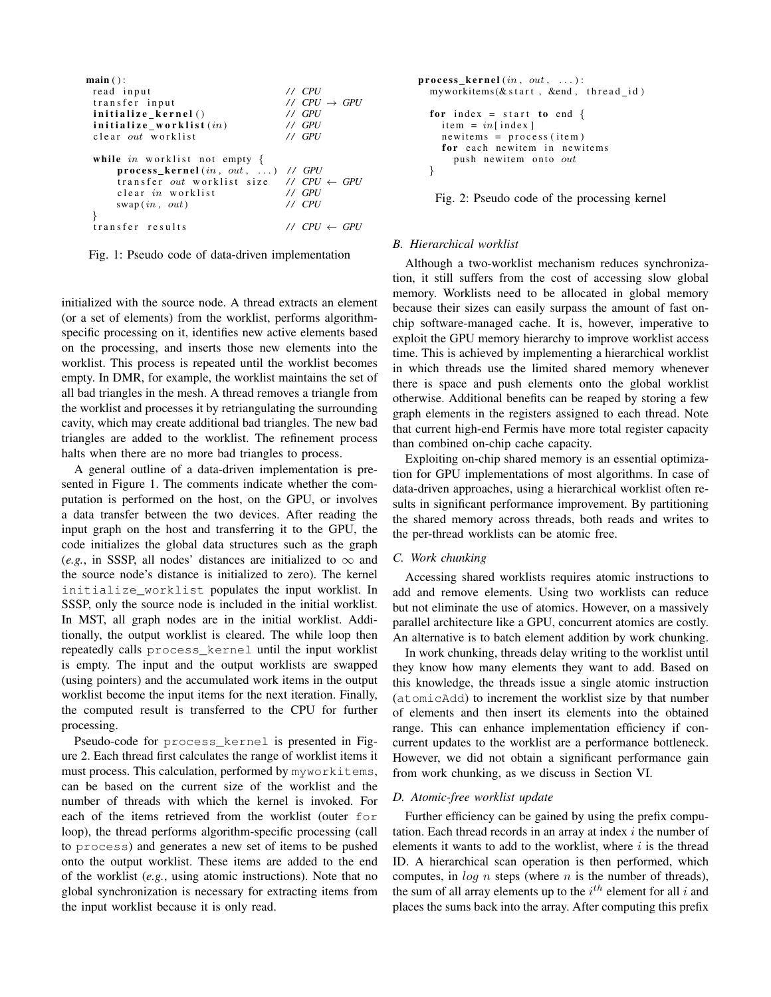```
main ( ) :
read input \frac{1}{\sqrt{CPU}}<br>transfer input \frac{1}{\sqrt{CPU}} \rightarrow GPU
transfer input
initialize_kernel() // GPU
\begin{array}{lll} \textbf{initialize\_worklist} \textit{(in)} & // GPU \\ \textbf{clear out worklist} & // GPU \end{array}c l e ar out w or k list
while in worklist not empty {
      process_kernel (in, out, ...) // GPU
      transfer out worklist size \frac{7}{2} CPU \leftarrow GPU clear in worklist \frac{7}{2} GPU
      c lear in worklist
      swap (in, out) // CPU
}
t r a n s f e r r e s u l t s / / CPU ← GPU
```
Fig. 1: Pseudo code of data-driven implementation

initialized with the source node. A thread extracts an element (or a set of elements) from the worklist, performs algorithmspecific processing on it, identifies new active elements based on the processing, and inserts those new elements into the worklist. This process is repeated until the worklist becomes empty. In DMR, for example, the worklist maintains the set of all bad triangles in the mesh. A thread removes a triangle from the worklist and processes it by retriangulating the surrounding cavity, which may create additional bad triangles. The new bad triangles are added to the worklist. The refinement process halts when there are no more bad triangles to process.

A general outline of a data-driven implementation is presented in Figure 1. The comments indicate whether the computation is performed on the host, on the GPU, or involves a data transfer between the two devices. After reading the input graph on the host and transferring it to the GPU, the code initializes the global data structures such as the graph (*e.g.*, in SSSP, all nodes' distances are initialized to  $\infty$  and the source node's distance is initialized to zero). The kernel initialize\_worklist populates the input worklist. In SSSP, only the source node is included in the initial worklist. In MST, all graph nodes are in the initial worklist. Additionally, the output worklist is cleared. The while loop then repeatedly calls process\_kernel until the input worklist is empty. The input and the output worklists are swapped (using pointers) and the accumulated work items in the output worklist become the input items for the next iteration. Finally, the computed result is transferred to the CPU for further processing.

Pseudo-code for process\_kernel is presented in Figure 2. Each thread first calculates the range of worklist items it must process. This calculation, performed by myworkitems, can be based on the current size of the worklist and the number of threads with which the kernel is invoked. For each of the items retrieved from the worklist (outer for loop), the thread performs algorithm-specific processing (call to process) and generates a new set of items to be pushed onto the output worklist. These items are added to the end of the worklist (*e.g.*, using atomic instructions). Note that no global synchronization is necessary for extracting items from the input worklist because it is only read.

```
process kernel (in, out, ...):
 myworthes & start, & end, thread_id)for index = start to end {
   item = in[index]
   newitems = process (item)for each newitem in newitems
     push newitem onto out
 }
```
Fig. 2: Pseudo code of the processing kernel

#### *B. Hierarchical worklist*

Although a two-worklist mechanism reduces synchronization, it still suffers from the cost of accessing slow global memory. Worklists need to be allocated in global memory because their sizes can easily surpass the amount of fast onchip software-managed cache. It is, however, imperative to exploit the GPU memory hierarchy to improve worklist access time. This is achieved by implementing a hierarchical worklist in which threads use the limited shared memory whenever there is space and push elements onto the global worklist otherwise. Additional benefits can be reaped by storing a few graph elements in the registers assigned to each thread. Note that current high-end Fermis have more total register capacity than combined on-chip cache capacity.

Exploiting on-chip shared memory is an essential optimization for GPU implementations of most algorithms. In case of data-driven approaches, using a hierarchical worklist often results in significant performance improvement. By partitioning the shared memory across threads, both reads and writes to the per-thread worklists can be atomic free.

## *C. Work chunking*

Accessing shared worklists requires atomic instructions to add and remove elements. Using two worklists can reduce but not eliminate the use of atomics. However, on a massively parallel architecture like a GPU, concurrent atomics are costly. An alternative is to batch element addition by work chunking.

In work chunking, threads delay writing to the worklist until they know how many elements they want to add. Based on this knowledge, the threads issue a single atomic instruction (atomicAdd) to increment the worklist size by that number of elements and then insert its elements into the obtained range. This can enhance implementation efficiency if concurrent updates to the worklist are a performance bottleneck. However, we did not obtain a significant performance gain from work chunking, as we discuss in Section VI.

#### *D. Atomic-free worklist update*

Further efficiency can be gained by using the prefix computation. Each thread records in an array at index  $i$  the number of elements it wants to add to the worklist, where  $i$  is the thread ID. A hierarchical scan operation is then performed, which computes, in  $\log n$  steps (where n is the number of threads), the sum of all array elements up to the  $i^{th}$  element for all i and places the sums back into the array. After computing this prefix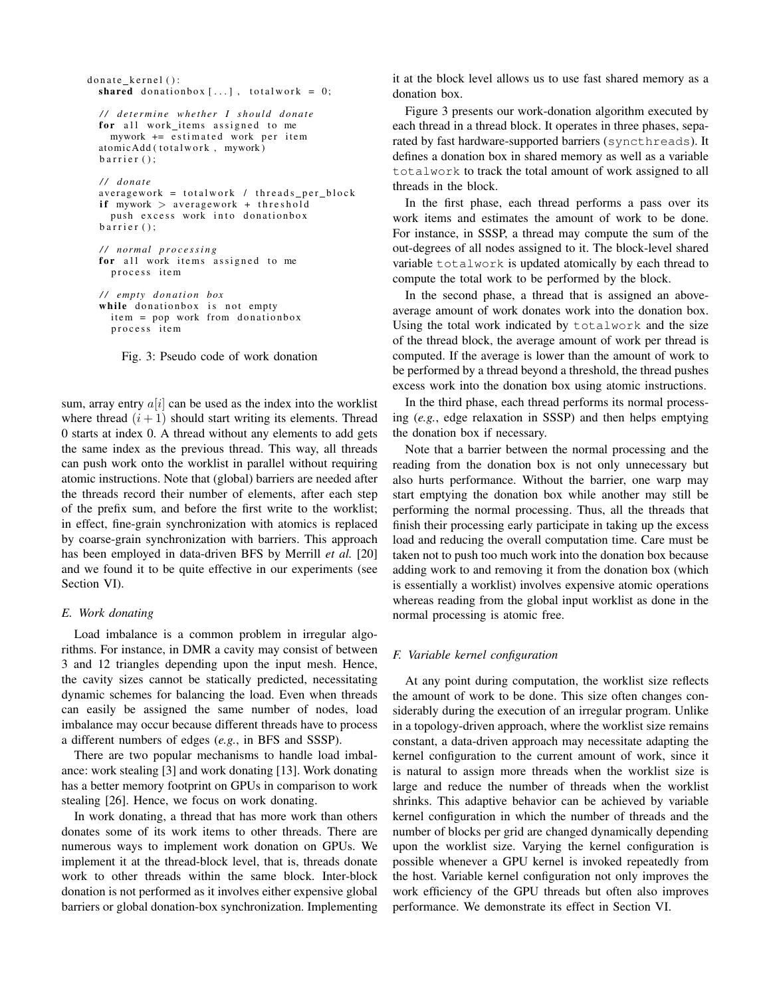```
donate kernel ():
shared donationbox [...], totalwork = 0;
 / / d e t e r m i n e w h et h e r I s h o ul d d o n at e
for all work_items assigned to me
   mywork += estimated work per item
atomicAdd (totalwork, mywork)
 bar(r);/ / d o n at e
averagework = totalwork / threads\_per\_blockif mywork > averagework + threshold
   push excess work into donationbox
 bar(r);/ / n o rm al p r o c e s s i n g
for all work items assigned to me
   process item
/ / em pty d o n a ti o n box
 while donationbox is not empty
   item = pop work from donationbox
   process item
```
Fig. 3: Pseudo code of work donation

sum, array entry  $a[i]$  can be used as the index into the worklist where thread  $(i + 1)$  should start writing its elements. Thread 0 starts at index 0. A thread without any elements to add gets the same index as the previous thread. This way, all threads can push work onto the worklist in parallel without requiring atomic instructions. Note that (global) barriers are needed after the threads record their number of elements, after each step of the prefix sum, and before the first write to the worklist; in effect, fine-grain synchronization with atomics is replaced by coarse-grain synchronization with barriers. This approach has been employed in data-driven BFS by Merrill *et al.* [20] and we found it to be quite effective in our experiments (see Section VI).

#### *E. Work donating*

Load imbalance is a common problem in irregular algorithms. For instance, in DMR a cavity may consist of between 3 and 12 triangles depending upon the input mesh. Hence, the cavity sizes cannot be statically predicted, necessitating dynamic schemes for balancing the load. Even when threads can easily be assigned the same number of nodes, load imbalance may occur because different threads have to process a different numbers of edges (*e.g.*, in BFS and SSSP).

There are two popular mechanisms to handle load imbalance: work stealing [3] and work donating [13]. Work donating has a better memory footprint on GPUs in comparison to work stealing [26]. Hence, we focus on work donating.

In work donating, a thread that has more work than others donates some of its work items to other threads. There are numerous ways to implement work donation on GPUs. We implement it at the thread-block level, that is, threads donate work to other threads within the same block. Inter-block donation is not performed as it involves either expensive global barriers or global donation-box synchronization. Implementing

it at the block level allows us to use fast shared memory as a donation box.

Figure 3 presents our work-donation algorithm executed by each thread in a thread block. It operates in three phases, separated by fast hardware-supported barriers (syncthreads). It defines a donation box in shared memory as well as a variable totalwork to track the total amount of work assigned to all threads in the block.

In the first phase, each thread performs a pass over its work items and estimates the amount of work to be done. For instance, in SSSP, a thread may compute the sum of the out-degrees of all nodes assigned to it. The block-level shared variable totalwork is updated atomically by each thread to compute the total work to be performed by the block.

In the second phase, a thread that is assigned an aboveaverage amount of work donates work into the donation box. Using the total work indicated by totalwork and the size of the thread block, the average amount of work per thread is computed. If the average is lower than the amount of work to be performed by a thread beyond a threshold, the thread pushes excess work into the donation box using atomic instructions.

In the third phase, each thread performs its normal processing (*e.g.*, edge relaxation in SSSP) and then helps emptying the donation box if necessary.

Note that a barrier between the normal processing and the reading from the donation box is not only unnecessary but also hurts performance. Without the barrier, one warp may start emptying the donation box while another may still be performing the normal processing. Thus, all the threads that finish their processing early participate in taking up the excess load and reducing the overall computation time. Care must be taken not to push too much work into the donation box because adding work to and removing it from the donation box (which is essentially a worklist) involves expensive atomic operations whereas reading from the global input worklist as done in the normal processing is atomic free.

#### *F. Variable kernel configuration*

At any point during computation, the worklist size reflects the amount of work to be done. This size often changes considerably during the execution of an irregular program. Unlike in a topology-driven approach, where the worklist size remains constant, a data-driven approach may necessitate adapting the kernel configuration to the current amount of work, since it is natural to assign more threads when the worklist size is large and reduce the number of threads when the worklist shrinks. This adaptive behavior can be achieved by variable kernel configuration in which the number of threads and the number of blocks per grid are changed dynamically depending upon the worklist size. Varying the kernel configuration is possible whenever a GPU kernel is invoked repeatedly from the host. Variable kernel configuration not only improves the work efficiency of the GPU threads but often also improves performance. We demonstrate its effect in Section VI.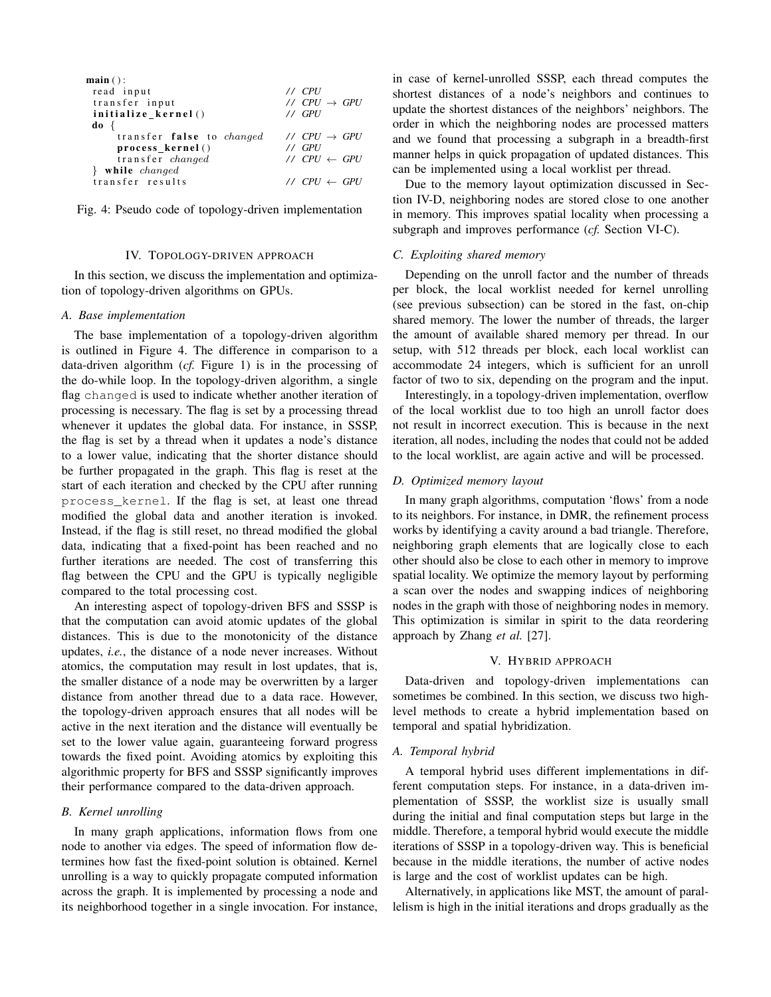| $\textbf{main}()$ :              |                             |
|----------------------------------|-----------------------------|
| read input                       | // CPU                      |
| transfer input                   | // $CPU \rightarrow GPU$    |
| initialize kernel()              | // GPU                      |
| $\mathbf{d}\mathbf{o}$ {         |                             |
| transfer false to <i>changed</i> | // $CPU \rightarrow GPU$    |
| process_kernel()                 | $11$ GPU                    |
| transfer changed                 | // $CPU \leftarrow GPU$     |
| while changed                    |                             |
| transfer results                 | $\vee$ CPU $\leftarrow$ GPU |
|                                  |                             |

Fig. 4: Pseudo code of topology-driven implementation

# IV. TOPOLOGY-DRIVEN APPROACH

In this section, we discuss the implementation and optimization of topology-driven algorithms on GPUs.

#### *A. Base implementation*

The base implementation of a topology-driven algorithm is outlined in Figure 4. The difference in comparison to a data-driven algorithm (*cf.* Figure 1) is in the processing of the do-while loop. In the topology-driven algorithm, a single flag changed is used to indicate whether another iteration of processing is necessary. The flag is set by a processing thread whenever it updates the global data. For instance, in SSSP, the flag is set by a thread when it updates a node's distance to a lower value, indicating that the shorter distance should be further propagated in the graph. This flag is reset at the start of each iteration and checked by the CPU after running process\_kernel. If the flag is set, at least one thread modified the global data and another iteration is invoked. Instead, if the flag is still reset, no thread modified the global data, indicating that a fixed-point has been reached and no further iterations are needed. The cost of transferring this flag between the CPU and the GPU is typically negligible compared to the total processing cost.

An interesting aspect of topology-driven BFS and SSSP is that the computation can avoid atomic updates of the global distances. This is due to the monotonicity of the distance updates, *i.e.*, the distance of a node never increases. Without atomics, the computation may result in lost updates, that is, the smaller distance of a node may be overwritten by a larger distance from another thread due to a data race. However, the topology-driven approach ensures that all nodes will be active in the next iteration and the distance will eventually be set to the lower value again, guaranteeing forward progress towards the fixed point. Avoiding atomics by exploiting this algorithmic property for BFS and SSSP significantly improves their performance compared to the data-driven approach.

# *B. Kernel unrolling*

In many graph applications, information flows from one node to another via edges. The speed of information flow determines how fast the fixed-point solution is obtained. Kernel unrolling is a way to quickly propagate computed information across the graph. It is implemented by processing a node and its neighborhood together in a single invocation. For instance, in case of kernel-unrolled SSSP, each thread computes the shortest distances of a node's neighbors and continues to update the shortest distances of the neighbors' neighbors. The order in which the neighboring nodes are processed matters and we found that processing a subgraph in a breadth-first manner helps in quick propagation of updated distances. This can be implemented using a local worklist per thread.

Due to the memory layout optimization discussed in Section IV-D, neighboring nodes are stored close to one another in memory. This improves spatial locality when processing a subgraph and improves performance (*cf.* Section VI-C).

# *C. Exploiting shared memory*

Depending on the unroll factor and the number of threads per block, the local worklist needed for kernel unrolling (see previous subsection) can be stored in the fast, on-chip shared memory. The lower the number of threads, the larger the amount of available shared memory per thread. In our setup, with 512 threads per block, each local worklist can accommodate 24 integers, which is sufficient for an unroll factor of two to six, depending on the program and the input.

Interestingly, in a topology-driven implementation, overflow of the local worklist due to too high an unroll factor does not result in incorrect execution. This is because in the next iteration, all nodes, including the nodes that could not be added to the local worklist, are again active and will be processed.

#### *D. Optimized memory layout*

In many graph algorithms, computation 'flows' from a node to its neighbors. For instance, in DMR, the refinement process works by identifying a cavity around a bad triangle. Therefore, neighboring graph elements that are logically close to each other should also be close to each other in memory to improve spatial locality. We optimize the memory layout by performing a scan over the nodes and swapping indices of neighboring nodes in the graph with those of neighboring nodes in memory. This optimization is similar in spirit to the data reordering approach by Zhang *et al.* [27].

# V. HYBRID APPROACH

Data-driven and topology-driven implementations can sometimes be combined. In this section, we discuss two highlevel methods to create a hybrid implementation based on temporal and spatial hybridization.

#### *A. Temporal hybrid*

A temporal hybrid uses different implementations in different computation steps. For instance, in a data-driven implementation of SSSP, the worklist size is usually small during the initial and final computation steps but large in the middle. Therefore, a temporal hybrid would execute the middle iterations of SSSP in a topology-driven way. This is beneficial because in the middle iterations, the number of active nodes is large and the cost of worklist updates can be high.

Alternatively, in applications like MST, the amount of parallelism is high in the initial iterations and drops gradually as the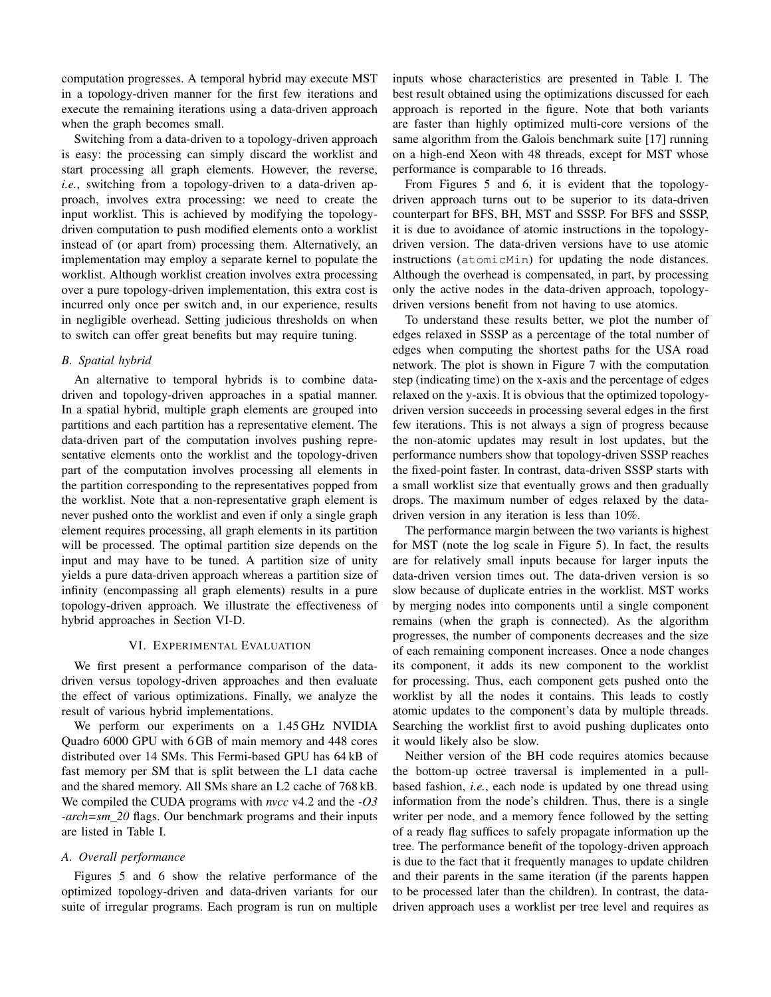computation progresses. A temporal hybrid may execute MST in a topology-driven manner for the first few iterations and execute the remaining iterations using a data-driven approach when the graph becomes small.

Switching from a data-driven to a topology-driven approach is easy: the processing can simply discard the worklist and start processing all graph elements. However, the reverse, *i.e.*, switching from a topology-driven to a data-driven approach, involves extra processing: we need to create the input worklist. This is achieved by modifying the topologydriven computation to push modified elements onto a worklist instead of (or apart from) processing them. Alternatively, an implementation may employ a separate kernel to populate the worklist. Although worklist creation involves extra processing over a pure topology-driven implementation, this extra cost is incurred only once per switch and, in our experience, results in negligible overhead. Setting judicious thresholds on when to switch can offer great benefits but may require tuning.

# *B. Spatial hybrid*

An alternative to temporal hybrids is to combine datadriven and topology-driven approaches in a spatial manner. In a spatial hybrid, multiple graph elements are grouped into partitions and each partition has a representative element. The data-driven part of the computation involves pushing representative elements onto the worklist and the topology-driven part of the computation involves processing all elements in the partition corresponding to the representatives popped from the worklist. Note that a non-representative graph element is never pushed onto the worklist and even if only a single graph element requires processing, all graph elements in its partition will be processed. The optimal partition size depends on the input and may have to be tuned. A partition size of unity yields a pure data-driven approach whereas a partition size of infinity (encompassing all graph elements) results in a pure topology-driven approach. We illustrate the effectiveness of hybrid approaches in Section VI-D.

# VI. EXPERIMENTAL EVALUATION

We first present a performance comparison of the datadriven versus topology-driven approaches and then evaluate the effect of various optimizations. Finally, we analyze the result of various hybrid implementations.

We perform our experiments on a 1.45 GHz NVIDIA Quadro 6000 GPU with 6 GB of main memory and 448 cores distributed over 14 SMs. This Fermi-based GPU has 64 kB of fast memory per SM that is split between the L1 data cache and the shared memory. All SMs share an L2 cache of 768 kB. We compiled the CUDA programs with *nvcc* v4.2 and the *-O3 -arch=sm 20* flags. Our benchmark programs and their inputs are listed in Table I.

## *A. Overall performance*

Figures 5 and 6 show the relative performance of the optimized topology-driven and data-driven variants for our suite of irregular programs. Each program is run on multiple inputs whose characteristics are presented in Table I. The best result obtained using the optimizations discussed for each approach is reported in the figure. Note that both variants are faster than highly optimized multi-core versions of the same algorithm from the Galois benchmark suite [17] running on a high-end Xeon with 48 threads, except for MST whose performance is comparable to 16 threads.

From Figures 5 and 6, it is evident that the topologydriven approach turns out to be superior to its data-driven counterpart for BFS, BH, MST and SSSP. For BFS and SSSP, it is due to avoidance of atomic instructions in the topologydriven version. The data-driven versions have to use atomic instructions (atomicMin) for updating the node distances. Although the overhead is compensated, in part, by processing only the active nodes in the data-driven approach, topologydriven versions benefit from not having to use atomics.

To understand these results better, we plot the number of edges relaxed in SSSP as a percentage of the total number of edges when computing the shortest paths for the USA road network. The plot is shown in Figure 7 with the computation step (indicating time) on the x-axis and the percentage of edges relaxed on the y-axis. It is obvious that the optimized topologydriven version succeeds in processing several edges in the first few iterations. This is not always a sign of progress because the non-atomic updates may result in lost updates, but the performance numbers show that topology-driven SSSP reaches the fixed-point faster. In contrast, data-driven SSSP starts with a small worklist size that eventually grows and then gradually drops. The maximum number of edges relaxed by the datadriven version in any iteration is less than 10%.

The performance margin between the two variants is highest for MST (note the log scale in Figure 5). In fact, the results are for relatively small inputs because for larger inputs the data-driven version times out. The data-driven version is so slow because of duplicate entries in the worklist. MST works by merging nodes into components until a single component remains (when the graph is connected). As the algorithm progresses, the number of components decreases and the size of each remaining component increases. Once a node changes its component, it adds its new component to the worklist for processing. Thus, each component gets pushed onto the worklist by all the nodes it contains. This leads to costly atomic updates to the component's data by multiple threads. Searching the worklist first to avoid pushing duplicates onto it would likely also be slow.

Neither version of the BH code requires atomics because the bottom-up octree traversal is implemented in a pullbased fashion, *i.e.*, each node is updated by one thread using information from the node's children. Thus, there is a single writer per node, and a memory fence followed by the setting of a ready flag suffices to safely propagate information up the tree. The performance benefit of the topology-driven approach is due to the fact that it frequently manages to update children and their parents in the same iteration (if the parents happen to be processed later than the children). In contrast, the datadriven approach uses a worklist per tree level and requires as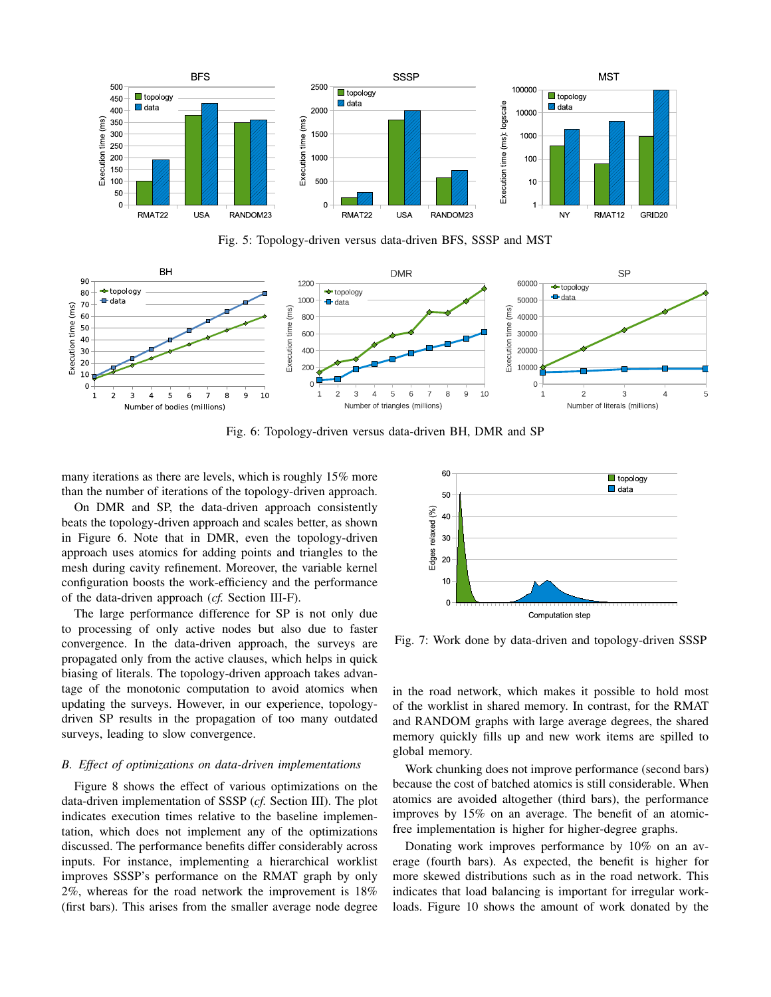

Fig. 5: Topology-driven versus data-driven BFS, SSSP and MST



Fig. 6: Topology-driven versus data-driven BH, DMR and SP

many iterations as there are levels, which is roughly 15% more than the number of iterations of the topology-driven approach.

On DMR and SP, the data-driven approach consistently beats the topology-driven approach and scales better, as shown in Figure 6. Note that in DMR, even the topology-driven approach uses atomics for adding points and triangles to the mesh during cavity refinement. Moreover, the variable kernel configuration boosts the work-efficiency and the performance of the data-driven approach (*cf.* Section III-F).

The large performance difference for SP is not only due to processing of only active nodes but also due to faster convergence. In the data-driven approach, the surveys are propagated only from the active clauses, which helps in quick biasing of literals. The topology-driven approach takes advantage of the monotonic computation to avoid atomics when updating the surveys. However, in our experience, topologydriven SP results in the propagation of too many outdated surveys, leading to slow convergence.

## *B. Effect of optimizations on data-driven implementations*

Figure 8 shows the effect of various optimizations on the data-driven implementation of SSSP (*cf.* Section III). The plot indicates execution times relative to the baseline implementation, which does not implement any of the optimizations discussed. The performance benefits differ considerably across inputs. For instance, implementing a hierarchical worklist improves SSSP's performance on the RMAT graph by only 2%, whereas for the road network the improvement is 18% (first bars). This arises from the smaller average node degree



Fig. 7: Work done by data-driven and topology-driven SSSP

in the road network, which makes it possible to hold most of the worklist in shared memory. In contrast, for the RMAT and RANDOM graphs with large average degrees, the shared memory quickly fills up and new work items are spilled to global memory.

Work chunking does not improve performance (second bars) because the cost of batched atomics is still considerable. When atomics are avoided altogether (third bars), the performance improves by 15% on an average. The benefit of an atomicfree implementation is higher for higher-degree graphs.

Donating work improves performance by 10% on an average (fourth bars). As expected, the benefit is higher for more skewed distributions such as in the road network. This indicates that load balancing is important for irregular workloads. Figure 10 shows the amount of work donated by the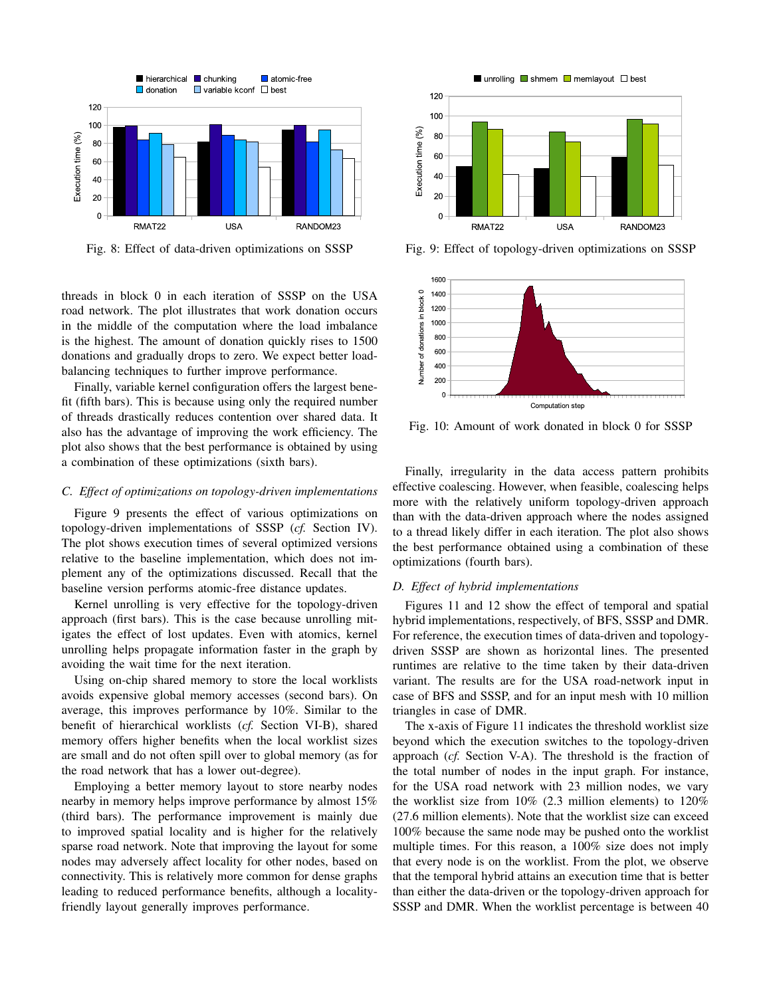

Fig. 8: Effect of data-driven optimizations on SSSP

threads in block 0 in each iteration of SSSP on the USA road network. The plot illustrates that work donation occurs in the middle of the computation where the load imbalance is the highest. The amount of donation quickly rises to 1500 donations and gradually drops to zero. We expect better loadbalancing techniques to further improve performance.

Finally, variable kernel configuration offers the largest benefit (fifth bars). This is because using only the required number of threads drastically reduces contention over shared data. It also has the advantage of improving the work efficiency. The plot also shows that the best performance is obtained by using a combination of these optimizations (sixth bars).

## *C. Effect of optimizations on topology-driven implementations*

Figure 9 presents the effect of various optimizations on topology-driven implementations of SSSP (*cf.* Section IV). The plot shows execution times of several optimized versions relative to the baseline implementation, which does not implement any of the optimizations discussed. Recall that the baseline version performs atomic-free distance updates.

Kernel unrolling is very effective for the topology-driven approach (first bars). This is the case because unrolling mitigates the effect of lost updates. Even with atomics, kernel unrolling helps propagate information faster in the graph by avoiding the wait time for the next iteration.

Using on-chip shared memory to store the local worklists avoids expensive global memory accesses (second bars). On average, this improves performance by 10%. Similar to the benefit of hierarchical worklists (*cf.* Section VI-B), shared memory offers higher benefits when the local worklist sizes are small and do not often spill over to global memory (as for the road network that has a lower out-degree).

Employing a better memory layout to store nearby nodes nearby in memory helps improve performance by almost 15% (third bars). The performance improvement is mainly due to improved spatial locality and is higher for the relatively sparse road network. Note that improving the layout for some nodes may adversely affect locality for other nodes, based on connectivity. This is relatively more common for dense graphs leading to reduced performance benefits, although a localityfriendly layout generally improves performance.



Fig. 9: Effect of topology-driven optimizations on SSSP



Fig. 10: Amount of work donated in block 0 for SSSP

Finally, irregularity in the data access pattern prohibits effective coalescing. However, when feasible, coalescing helps more with the relatively uniform topology-driven approach than with the data-driven approach where the nodes assigned to a thread likely differ in each iteration. The plot also shows the best performance obtained using a combination of these optimizations (fourth bars).

#### *D. Effect of hybrid implementations*

Figures 11 and 12 show the effect of temporal and spatial hybrid implementations, respectively, of BFS, SSSP and DMR. For reference, the execution times of data-driven and topologydriven SSSP are shown as horizontal lines. The presented runtimes are relative to the time taken by their data-driven variant. The results are for the USA road-network input in case of BFS and SSSP, and for an input mesh with 10 million triangles in case of DMR.

The x-axis of Figure 11 indicates the threshold worklist size beyond which the execution switches to the topology-driven approach (*cf.* Section V-A). The threshold is the fraction of the total number of nodes in the input graph. For instance, for the USA road network with 23 million nodes, we vary the worklist size from 10% (2.3 million elements) to 120% (27.6 million elements). Note that the worklist size can exceed 100% because the same node may be pushed onto the worklist multiple times. For this reason, a 100% size does not imply that every node is on the worklist. From the plot, we observe that the temporal hybrid attains an execution time that is better than either the data-driven or the topology-driven approach for SSSP and DMR. When the worklist percentage is between 40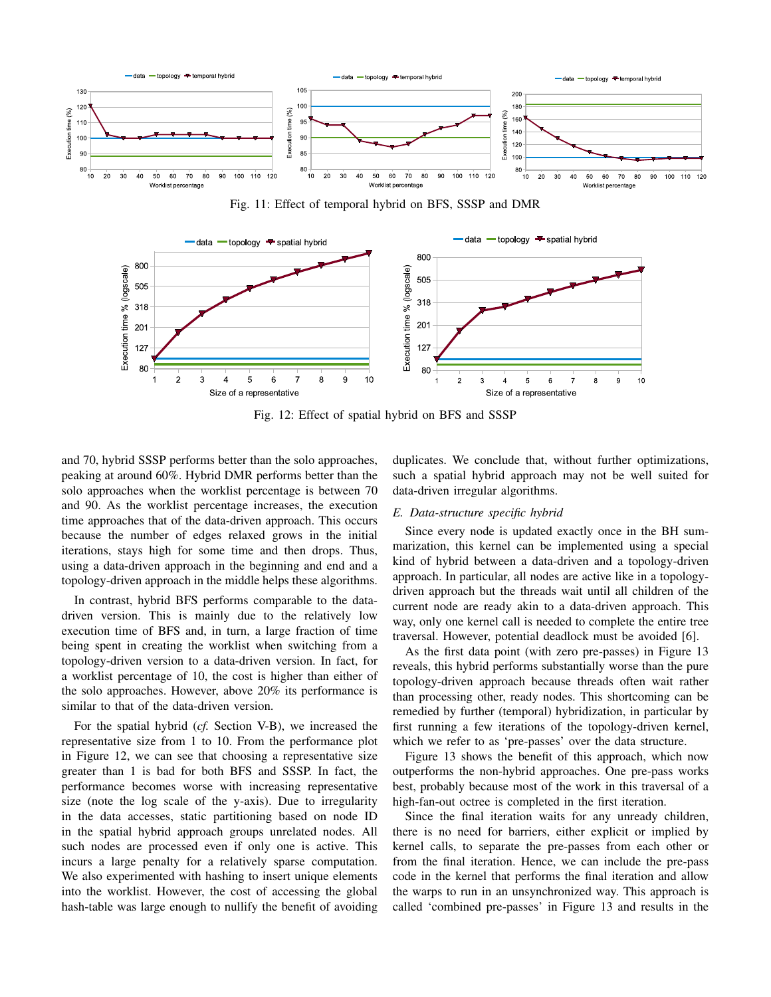

Fig. 11: Effect of temporal hybrid on BFS, SSSP and DMR



Fig. 12: Effect of spatial hybrid on BFS and SSSP

and 70, hybrid SSSP performs better than the solo approaches, peaking at around 60%. Hybrid DMR performs better than the solo approaches when the worklist percentage is between 70 and 90. As the worklist percentage increases, the execution time approaches that of the data-driven approach. This occurs because the number of edges relaxed grows in the initial iterations, stays high for some time and then drops. Thus, using a data-driven approach in the beginning and end and a topology-driven approach in the middle helps these algorithms.

In contrast, hybrid BFS performs comparable to the datadriven version. This is mainly due to the relatively low execution time of BFS and, in turn, a large fraction of time being spent in creating the worklist when switching from a topology-driven version to a data-driven version. In fact, for a worklist percentage of 10, the cost is higher than either of the solo approaches. However, above 20% its performance is similar to that of the data-driven version.

For the spatial hybrid (*cf.* Section V-B), we increased the representative size from 1 to 10. From the performance plot in Figure 12, we can see that choosing a representative size greater than 1 is bad for both BFS and SSSP. In fact, the performance becomes worse with increasing representative size (note the log scale of the y-axis). Due to irregularity in the data accesses, static partitioning based on node ID in the spatial hybrid approach groups unrelated nodes. All such nodes are processed even if only one is active. This incurs a large penalty for a relatively sparse computation. We also experimented with hashing to insert unique elements into the worklist. However, the cost of accessing the global hash-table was large enough to nullify the benefit of avoiding

duplicates. We conclude that, without further optimizations, such a spatial hybrid approach may not be well suited for data-driven irregular algorithms.

# *E. Data-structure specific hybrid*

Since every node is updated exactly once in the BH summarization, this kernel can be implemented using a special kind of hybrid between a data-driven and a topology-driven approach. In particular, all nodes are active like in a topologydriven approach but the threads wait until all children of the current node are ready akin to a data-driven approach. This way, only one kernel call is needed to complete the entire tree traversal. However, potential deadlock must be avoided [6].

As the first data point (with zero pre-passes) in Figure 13 reveals, this hybrid performs substantially worse than the pure topology-driven approach because threads often wait rather than processing other, ready nodes. This shortcoming can be remedied by further (temporal) hybridization, in particular by first running a few iterations of the topology-driven kernel, which we refer to as 'pre-passes' over the data structure.

Figure 13 shows the benefit of this approach, which now outperforms the non-hybrid approaches. One pre-pass works best, probably because most of the work in this traversal of a high-fan-out octree is completed in the first iteration.

Since the final iteration waits for any unready children, there is no need for barriers, either explicit or implied by kernel calls, to separate the pre-passes from each other or from the final iteration. Hence, we can include the pre-pass code in the kernel that performs the final iteration and allow the warps to run in an unsynchronized way. This approach is called 'combined pre-passes' in Figure 13 and results in the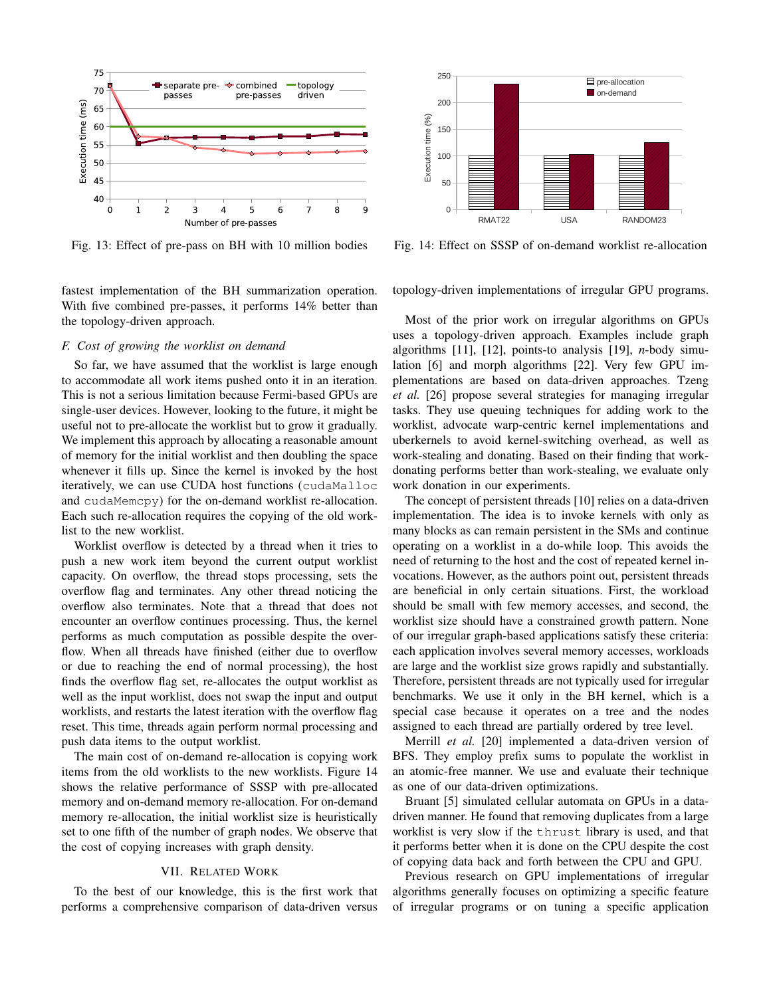

Fig. 13: Effect of pre-pass on BH with 10 million bodies

fastest implementation of the BH summarization operation. With five combined pre-passes, it performs 14% better than the topology-driven approach.

# *F. Cost of growing the worklist on demand*

So far, we have assumed that the worklist is large enough to accommodate all work items pushed onto it in an iteration. This is not a serious limitation because Fermi-based GPUs are single-user devices. However, looking to the future, it might be useful not to pre-allocate the worklist but to grow it gradually. We implement this approach by allocating a reasonable amount of memory for the initial worklist and then doubling the space whenever it fills up. Since the kernel is invoked by the host iteratively, we can use CUDA host functions (cudaMalloc and cudaMemcpy) for the on-demand worklist re-allocation. Each such re-allocation requires the copying of the old worklist to the new worklist.

Worklist overflow is detected by a thread when it tries to push a new work item beyond the current output worklist capacity. On overflow, the thread stops processing, sets the overflow flag and terminates. Any other thread noticing the overflow also terminates. Note that a thread that does not encounter an overflow continues processing. Thus, the kernel performs as much computation as possible despite the overflow. When all threads have finished (either due to overflow or due to reaching the end of normal processing), the host finds the overflow flag set, re-allocates the output worklist as well as the input worklist, does not swap the input and output worklists, and restarts the latest iteration with the overflow flag reset. This time, threads again perform normal processing and push data items to the output worklist.

The main cost of on-demand re-allocation is copying work items from the old worklists to the new worklists. Figure 14 shows the relative performance of SSSP with pre-allocated memory and on-demand memory re-allocation. For on-demand memory re-allocation, the initial worklist size is heuristically set to one fifth of the number of graph nodes. We observe that the cost of copying increases with graph density.

## VII. RELATED WORK

To the best of our knowledge, this is the first work that performs a comprehensive comparison of data-driven versus



Fig. 14: Effect on SSSP of on-demand worklist re-allocation

topology-driven implementations of irregular GPU programs.

Most of the prior work on irregular algorithms on GPUs uses a topology-driven approach. Examples include graph algorithms [11], [12], points-to analysis [19], *n*-body simulation [6] and morph algorithms [22]. Very few GPU implementations are based on data-driven approaches. Tzeng *et al.* [26] propose several strategies for managing irregular tasks. They use queuing techniques for adding work to the worklist, advocate warp-centric kernel implementations and uberkernels to avoid kernel-switching overhead, as well as work-stealing and donating. Based on their finding that workdonating performs better than work-stealing, we evaluate only work donation in our experiments.

The concept of persistent threads [10] relies on a data-driven implementation. The idea is to invoke kernels with only as many blocks as can remain persistent in the SMs and continue operating on a worklist in a do-while loop. This avoids the need of returning to the host and the cost of repeated kernel invocations. However, as the authors point out, persistent threads are beneficial in only certain situations. First, the workload should be small with few memory accesses, and second, the worklist size should have a constrained growth pattern. None of our irregular graph-based applications satisfy these criteria: each application involves several memory accesses, workloads are large and the worklist size grows rapidly and substantially. Therefore, persistent threads are not typically used for irregular benchmarks. We use it only in the BH kernel, which is a special case because it operates on a tree and the nodes assigned to each thread are partially ordered by tree level.

Merrill *et al.* [20] implemented a data-driven version of BFS. They employ prefix sums to populate the worklist in an atomic-free manner. We use and evaluate their technique as one of our data-driven optimizations.

Bruant [5] simulated cellular automata on GPUs in a datadriven manner. He found that removing duplicates from a large worklist is very slow if the thrust library is used, and that it performs better when it is done on the CPU despite the cost of copying data back and forth between the CPU and GPU.

Previous research on GPU implementations of irregular algorithms generally focuses on optimizing a specific feature of irregular programs or on tuning a specific application